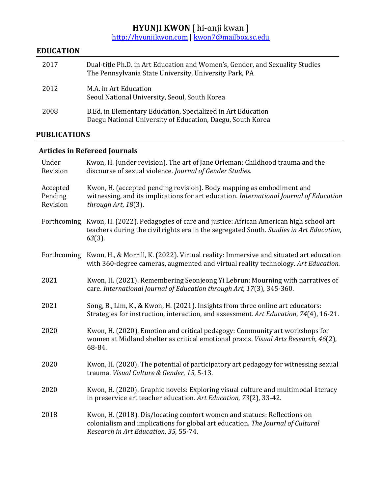### **HYUNJI KWON** [ hi-anji kwan ]

<u>http://hyunjikwon.com | kwon7@mailbox.sc.edu</u>

### **EDUCATION**

| 2017 | Dual-title Ph.D. in Art Education and Women's, Gender, and Sexuality Studies<br>The Pennsylvania State University, University Park, PA |
|------|----------------------------------------------------------------------------------------------------------------------------------------|
| 2012 | M.A. in Art Education<br>Seoul National University, Seoul, South Korea                                                                 |
| 2008 | B.Ed. in Elementary Education, Specialized in Art Education<br>Daegu National University of Education, Daegu, South Korea              |

### **PUBLICATIONS**

### **Articles in Refereed Journals**

| Under<br>Revision               | Kwon, H. (under revision). The art of Jane Orleman: Childhood trauma and the<br>discourse of sexual violence. Journal of Gender Studies.                                                           |
|---------------------------------|----------------------------------------------------------------------------------------------------------------------------------------------------------------------------------------------------|
| Accepted<br>Pending<br>Revision | Kwon, H. (accepted pending revision). Body mapping as embodiment and<br>witnessing, and its implications for art education. International Journal of Education<br>through Art, 18(3).              |
| Forthcoming                     | Kwon, H. (2022). Pedagogies of care and justice: African American high school art<br>teachers during the civil rights era in the segregated South. Studies in Art Education,<br>$63(3)$ .          |
|                                 | Forthcoming Kwon, H., & Morrill, K. (2022). Virtual reality: Immersive and situated art education<br>with 360-degree cameras, augmented and virtual reality technology. Art Education.             |
| 2021                            | Kwon, H. (2021). Remembering Seonjeong Yi Lebrun: Mourning with narratives of<br>care. International Journal of Education through Art, 17(3), 345-360.                                             |
| 2021                            | Song, B., Lim, K., & Kwon, H. (2021). Insights from three online art educators:<br>Strategies for instruction, interaction, and assessment. Art Education, 74(4), 16-21.                           |
| 2020                            | Kwon, H. (2020). Emotion and critical pedagogy: Community art workshops for<br>women at Midland shelter as critical emotional praxis. Visual Arts Research, 46(2),<br>68-84.                       |
| 2020                            | Kwon, H. (2020). The potential of participatory art pedagogy for witnessing sexual<br>trauma. Visual Culture & Gender, 15, 5-13.                                                                   |
| 2020                            | Kwon, H. (2020). Graphic novels: Exploring visual culture and multimodal literacy<br>in preservice art teacher education. Art Education, 73(2), 33-42.                                             |
| 2018                            | Kwon, H. (2018). Dis/locating comfort women and statues: Reflections on<br>colonialism and implications for global art education. The Journal of Cultural<br>Research in Art Education, 35, 55-74. |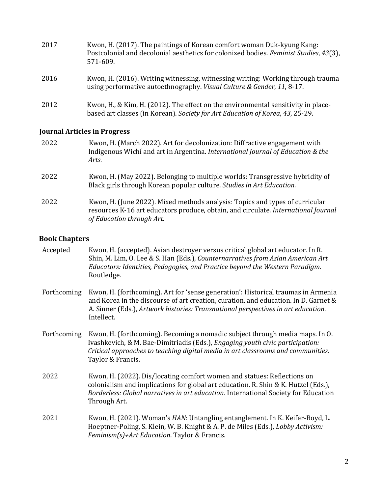| 2017 | Kwon, H. (2017). The paintings of Korean comfort woman Duk-kyung Kang:<br>Postcolonial and decolonial aesthetics for colonized bodies. Feminist Studies, 43(3),<br>571-609. |
|------|-----------------------------------------------------------------------------------------------------------------------------------------------------------------------------|
| 2016 | Kwon, H. (2016). Writing witnessing, witnessing writing: Working through trauma<br>using performative autoethnography. Visual Culture & Gender, 11, 8-17.                   |
| 2012 | Kwon, H., & Kim, H. (2012). The effect on the environmental sensitivity in place-<br>based art classes (in Korean). Society for Art Education of Korea, 43, 25-29.          |

#### **Journal Articles in Progress**

| 2022 | Kwon, H. (March 2022). Art for decolonization: Diffractive engagement with<br>Indigenous Wichí and art in Argentina. International Journal of Education & the<br>Arts.                          |
|------|-------------------------------------------------------------------------------------------------------------------------------------------------------------------------------------------------|
| 2022 | Kwon, H. (May 2022). Belonging to multiple worlds: Transgressive hybridity of<br>Black girls through Korean popular culture. Studies in Art Education.                                          |
| 2022 | Kwon, H. (June 2022). Mixed methods analysis: Topics and types of curricular<br>resources K-16 art educators produce, obtain, and circulate. International Journal<br>of Education through Art. |

#### **Book Chapters**

| Accepted | Kwon, H. (accepted). Asian destroyer versus critical global art educator. In R.        |
|----------|----------------------------------------------------------------------------------------|
|          | Shin, M. Lim, O. Lee & S. Han (Eds.), <i>Counternarratives from Asian American Art</i> |
|          | Educators: Identities, Pedagogies, and Practice beyond the Western Paradigm.           |
|          | Routledge.                                                                             |

- Forthcoming Kwon, H. (forthcoming). Art for 'sense generation': Historical traumas in Armenia and Korea in the discourse of art creation, curation, and education. In D. Garnet  $&$ A. Sinner (Eds.), *Artwork histories: Transnational perspectives in art education.* Intellect.
- Forthcoming Kwon, H. (forthcoming). Becoming a nomadic subject through media maps. In O. Ivashkevich, & M. Bae-Dimitriadis (Eds.), *Engaging youth civic participation: Critical approaches to teaching digital media in art classrooms and communities.* Taylor & Francis.
- 2022 Kwon, H. (2022). Dis/locating comfort women and statues: Reflections on colonialism and implications for global art education. R. Shin & K. Hutzel (Eds.), *Borderless: Global narratives in art education*. International Society for Education Through Art.
- 2021 Kwon, H. (2021). Woman's *HAN*: Untangling entanglement. In K. Keifer-Boyd, L. Hoeptner-Poling, S. Klein, W. B. Knight & A. P. de Miles (Eds.), *Lobby Activism: Feminism(s)+Art Education*. Taylor & Francis.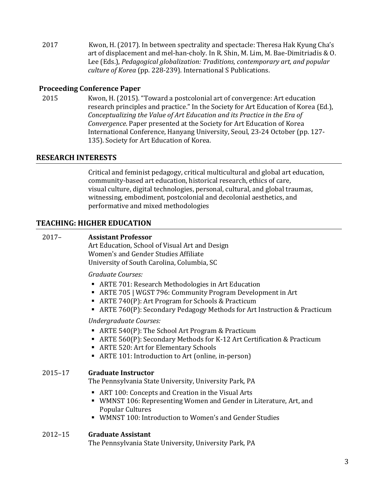2017 Kwon, H. (2017). In between spectrality and spectacle: Theresa Hak Kyung Cha's art of displacement and mel-han-choly. In R. Shin, M. Lim, M. Bae-Dimitriadis  $& 0.$ Lee (Eds.), Pedagogical globalization: Traditions, contemporary art, and popular culture of Korea (pp. 228-239). International S Publications.

#### **Proceeding Conference Paper**

2015 Kwon, H. (2015). "Toward a postcolonial art of convergence: Art education research principles and practice." In the Society for Art Education of Korea (Ed.), *Conceptualizing the Value of Art Education and its Practice in the Era of Convergence*. Paper presented at the Society for Art Education of Korea International Conference, Hanyang University, Seoul, 23-24 October (pp. 127-135). Society for Art Education of Korea.

#### **RESEARCH INTERESTS**

Critical and feminist pedagogy, critical multicultural and global art education, community-based art education, historical research, ethics of care, visual culture, digital technologies, personal, cultural, and global traumas, witnessing, embodiment, postcolonial and decolonial aesthetics, and performative and mixed methodologies

#### **TEACHING: HIGHER EDUCATION**

#### 2017– **Assistant Professor**

Art Education, School of Visual Art and Design Women's and Gender Studies Affiliate University of South Carolina, Columbia, SC

#### *Graduate Courses:*

- ARTE 701: Research Methodologies in Art Education
- ARTE 705 | WGST 796: Community Program Development in Art
- ARTE 740(P): Art Program for Schools & Practicum
- ARTE 760(P): Secondary Pedagogy Methods for Art Instruction & Practicum

#### *Undergraduate Courses:*

- ARTE 540(P): The School Art Program & Practicum
- ARTE 560(P): Secondary Methods for K-12 Art Certification & Practicum
- ARTE 520: Art for Elementary Schools
- ARTE 101: Introduction to Art (online, in-person)

#### 2015–17 **Graduate Instructor**

The Pennsylvania State University, University Park, PA

- ART 100: Concepts and Creation in the Visual Arts
- WMNST 106: Representing Women and Gender in Literature, Art, and Popular Cultures
- WMNST 100: Introduction to Women's and Gender Studies

#### 2012–15 **Graduate Assistant**

The Pennsylvania State University, University Park, PA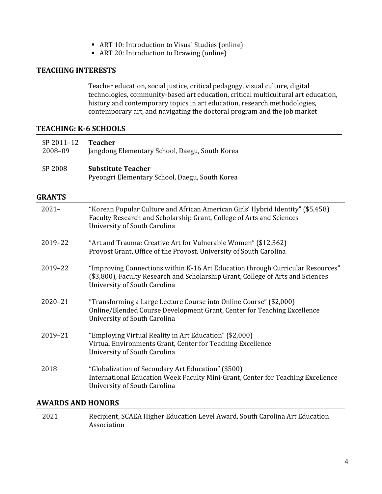- ART 10: Introduction to Visual Studies (online)
- ART 20: Introduction to Drawing (online)

#### **TEACHING INTERESTS**

Teacher education, social justice, critical pedagogy, visual culture, digital technologies, community-based art education, critical multicultural art education, history and contemporary topics in art education, research methodologies, contemporary art, and navigating the doctoral program and the job market

#### **TEACHING: K-6 SCHOOLS**

| SP 2011-12<br>2008-09 | <b>Teacher</b><br>Jangdong Elementary School, Daegu, South Korea                                                                                                                                  |
|-----------------------|---------------------------------------------------------------------------------------------------------------------------------------------------------------------------------------------------|
| SP 2008               | <b>Substitute Teacher</b><br>Pyeongri Elementary School, Daegu, South Korea                                                                                                                       |
| <b>GRANTS</b>         |                                                                                                                                                                                                   |
| $2021 -$              | "Korean Popular Culture and African American Girls' Hybrid Identity" (\$5,458)<br>Faculty Research and Scholarship Grant, College of Arts and Sciences<br>University of South Carolina            |
| 2019-22               | "Art and Trauma: Creative Art for Vulnerable Women" (\$12,362)<br>Provost Grant, Office of the Provost, University of South Carolina                                                              |
| 2019-22               | "Improving Connections within K-16 Art Education through Curricular Resources"<br>(\$3,800), Faculty Research and Scholarship Grant, College of Arts and Sciences<br>University of South Carolina |
| $2020 - 21$           | "Transforming a Large Lecture Course into Online Course" (\$2,000)<br>Online/Blended Course Development Grant, Center for Teaching Excellence<br>University of South Carolina                     |
| 2019-21               | "Employing Virtual Reality in Art Education" (\$2,000)<br>Virtual Environments Grant, Center for Teaching Excellence<br>University of South Carolina                                              |
| 2018                  | "Globalization of Secondary Art Education" (\$500)<br>International Education Week Faculty Mini-Grant, Center for Teaching Excellence<br>University of South Carolina                             |

#### **AWARDS AND HONORS**

2021 Recipient, SCAEA Higher Education Level Award, South Carolina Art Education Association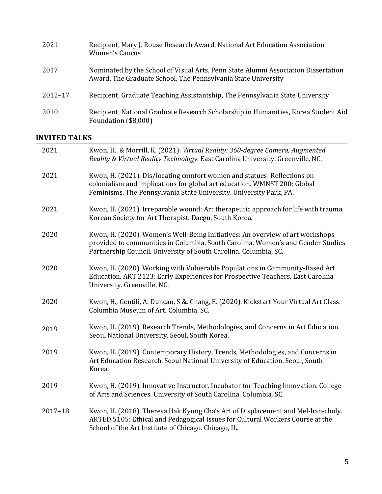| 2021        | Recipient, Mary J. Rouse Research Award, National Art Education Association<br><b>Women's Caucus</b>                                                |
|-------------|-----------------------------------------------------------------------------------------------------------------------------------------------------|
| 2017        | Nominated by the School of Visual Arts, Penn State Alumni Association Dissertation<br>Award, The Graduate School, The Pennsylvania State University |
| $2012 - 17$ | Recipient, Graduate Teaching Assistantship, The Pennsylvania State University                                                                       |
| 2010        | Recipient, National Graduate Research Scholarship in Humanities, Korea Student Aid<br>Foundation (\$8,000)                                          |

### **INVITED TALKS**

| 2021        | Kwon, H., & Morrill, K. (2021). Virtual Reality: 360-degree Camera, Augmented<br>Reality & Virtual Reality Technology. East Carolina University. Greenville, NC.                                                                     |
|-------------|--------------------------------------------------------------------------------------------------------------------------------------------------------------------------------------------------------------------------------------|
| 2021        | Kwon, H. (2021). Dis/locating comfort women and statues: Reflections on<br>colonialism and implications for global art education. WMNST 200: Global<br>Feminisms. The Pennsylvania State University. University Park, PA.            |
| 2021        | Kwon, H. (2021). Irreparable wound: Art therapeutic approach for life with trauma.<br>Korean Society for Art Therapist. Daegu, South Korea.                                                                                          |
| 2020        | Kwon, H. (2020). Women's Well-Being Initiatives: An overview of art workshops<br>provided to communities in Columbia, South Carolina. Women's and Gender Studies<br>Partnership Council. University of South Carolina. Columbia, SC. |
| 2020        | Kwon, H. (2020). Working with Vulnerable Populations in Community-Based Art<br>Education. ART 2123: Early Experiences for Prospective Teachers. East Carolina<br>University. Greenville, NC.                                         |
| 2020        | Kwon, H., Gentili, A. Duncan, S &. Chang, E. (2020). Kickstart Your Virtual Art Class.<br>Columbia Museum of Art. Columbia, SC.                                                                                                      |
| 2019        | Kwon, H. (2019). Research Trends, Methodologies, and Concerns in Art Education.<br>Seoul National University. Seoul, South Korea.                                                                                                    |
| 2019        | Kwon, H. (2019). Contemporary History, Trends, Methodologies, and Concerns in<br>Art Education Research. Seoul National University of Education. Seoul, South<br>Korea.                                                              |
| 2019        | Kwon, H. (2019). Innovative Instructor. Incubator for Teaching Innovation. College<br>of Arts and Sciences. University of South Carolina. Columbia, SC.                                                                              |
| $2017 - 18$ | Kwon, H. (2018). Theresa Hak Kyung Cha's Art of Displacement and Mel-han-choly.<br>ARTED 5105: Ethical and Pedagogical Issues for Cultural Workers Course at the<br>School of the Art Institute of Chicago. Chicago, IL.             |
|             |                                                                                                                                                                                                                                      |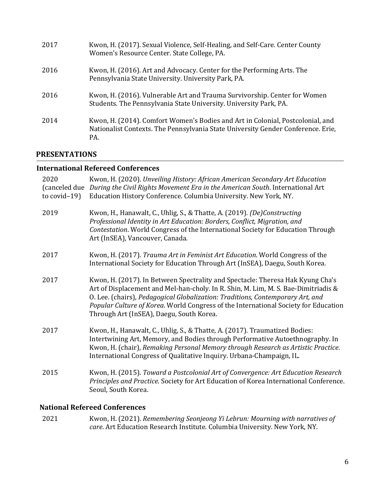| 2017 | Kwon, H. (2017). Sexual Violence, Self-Healing, and Self-Care. Center County<br>Women's Resource Center. State College, PA.                                               |
|------|---------------------------------------------------------------------------------------------------------------------------------------------------------------------------|
| 2016 | Kwon, H. (2016). Art and Advocacy. Center for the Performing Arts. The<br>Pennsylvania State University. University Park, PA.                                             |
| 2016 | Kwon, H. (2016). Vulnerable Art and Trauma Survivorship. Center for Women<br>Students. The Pennsylvania State University. University Park, PA.                            |
| 2014 | Kwon, H. (2014). Comfort Women's Bodies and Art in Colonial, Postcolonial, and<br>Nationalist Contexts. The Pennsylvania State University Gender Conference. Erie,<br>PA. |

### **PRESENTATIONS**

### **International Refereed Conferences**

| 2020<br>(canceled due<br>to $covid-19$ ) | Kwon, H. (2020). Unveiling History: African American Secondary Art Education<br>During the Civil Rights Movement Era in the American South. International Art<br>Education History Conference. Columbia University. New York, NY.                                                                                                                                                         |
|------------------------------------------|-------------------------------------------------------------------------------------------------------------------------------------------------------------------------------------------------------------------------------------------------------------------------------------------------------------------------------------------------------------------------------------------|
| 2019                                     | Kwon, H., Hanawalt, C., Uhlig, S., & Thatte, A. (2019). (De)Constructing<br>Professional Identity in Art Education: Borders, Conflict, Migration, and<br>Contestation. World Congress of the International Society for Education Through<br>Art (InSEA), Vancouver, Canada.                                                                                                               |
| 2017                                     | Kwon, H. (2017). Trauma Art in Feminist Art Education. World Congress of the<br>International Society for Education Through Art (InSEA), Daegu, South Korea.                                                                                                                                                                                                                              |
| 2017                                     | Kwon, H. (2017). In Between Spectrality and Spectacle: Theresa Hak Kyung Cha's<br>Art of Displacement and Mel-han-choly. In R. Shin, M. Lim, M. S. Bae-Dimitriadis &<br>O. Lee. (chairs), Pedagogical Globalization: Traditions, Contemporary Art, and<br>Popular Culture of Korea. World Congress of the International Society for Education<br>Through Art (InSEA), Daegu, South Korea. |
| 2017                                     | Kwon, H., Hanawalt, C., Uhlig, S., & Thatte, A. (2017). Traumatized Bodies:<br>Intertwining Art, Memory, and Bodies through Performative Autoethnography. In<br>Kwon, H. (chair), Remaking Personal Memory through Research as Artistic Practice.<br>International Congress of Qualitative Inquiry. Urbana-Champaign, IL.                                                                 |
| 2015                                     | Kwon, H. (2015). Toward a Postcolonial Art of Convergence: Art Education Research<br>Principles and Practice. Society for Art Education of Korea International Conference.<br>Seoul, South Korea.                                                                                                                                                                                         |

### **National Refereed Conferences**

2021 Kwon, H. (2021). *Remembering Seonjeong Yi Lebrun: Mourning with narratives of care*. Art Education Research Institute. Columbia University. New York, NY.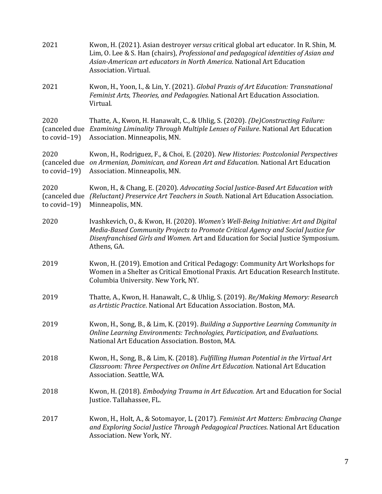| 2021                                     | Kwon, H. (2021). Asian destroyer versus critical global art educator. In R. Shin, M.<br>Lim, O. Lee & S. Han (chairs), Professional and pedagogical identities of Asian and<br>Asian-American art educators in North America. National Art Education<br>Association. Virtual. |
|------------------------------------------|-------------------------------------------------------------------------------------------------------------------------------------------------------------------------------------------------------------------------------------------------------------------------------|
| 2021                                     | Kwon, H., Yoon, I., & Lin, Y. (2021). Global Praxis of Art Education: Transnational<br>Feminist Arts, Theories, and Pedagogies. National Art Education Association.<br>Virtual.                                                                                               |
| 2020<br>(canceled due<br>to $covid-19$ ) | Thatte, A., Kwon, H. Hanawalt, C., & Uhlig, S. (2020). (De)Constructing Failure:<br>Examining Liminality Through Multiple Lenses of Failure. National Art Education<br>Association. Minneapolis, MN.                                                                          |
| 2020<br>to $covid-19$ )                  | Kwon, H., Rodriguez, F., & Choi, E. (2020). New Histories: Postcolonial Perspectives<br>(canceled due on Armenian, Dominican, and Korean Art and Education. National Art Education<br>Association. Minneapolis, MN.                                                           |
| 2020<br>(canceled due<br>to $covid-19$ ) | Kwon, H., & Chang, E. (2020). Advocating Social Justice-Based Art Education with<br>(Reluctant) Preservice Art Teachers in South. National Art Education Association.<br>Minneapolis, MN.                                                                                     |
| 2020                                     | Ivashkevich, O., & Kwon, H. (2020). Women's Well-Being Initiative: Art and Digital<br>Media-Based Community Projects to Promote Critical Agency and Social Justice for<br>Disenfranchised Girls and Women. Art and Education for Social Justice Symposium.<br>Athens, GA.     |
| 2019                                     | Kwon, H. (2019). Emotion and Critical Pedagogy: Community Art Workshops for<br>Women in a Shelter as Critical Emotional Praxis. Art Education Research Institute.<br>Columbia University. New York, NY.                                                                       |
| 2019                                     | Thatte, A., Kwon, H. Hanawalt, C., & Uhlig, S. (2019). Re/Making Memory: Research<br>as Artistic Practice. National Art Education Association. Boston, MA.                                                                                                                    |
| 2019                                     | Kwon, H., Song, B., & Lim, K. (2019). Building a Supportive Learning Community in<br>Online Learning Environments: Technologies, Participation, and Evaluations.<br>National Art Education Association. Boston, MA.                                                           |
| 2018                                     | Kwon, H., Song, B., & Lim, K. (2018). Fulfilling Human Potential in the Virtual Art<br>Classroom: Three Perspectives on Online Art Education. National Art Education<br>Association. Seattle, WA.                                                                             |
| 2018                                     | Kwon, H. (2018). <i>Embodying Trauma in Art Education</i> . Art and Education for Social<br>Justice. Tallahassee, FL.                                                                                                                                                         |
| 2017                                     | Kwon, H., Holt, A., & Sotomayor, L. (2017). Feminist Art Matters: Embracing Change<br>and Exploring Social Justice Through Pedagogical Practices. National Art Education<br>Association. New York, NY.                                                                        |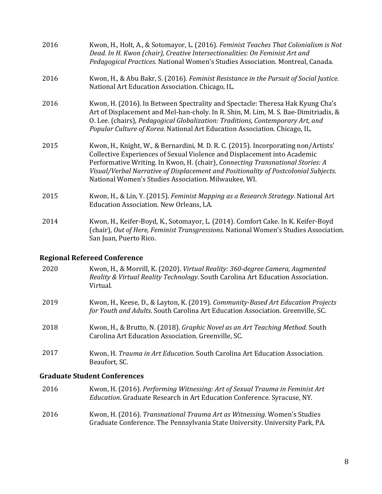| 2016 | Kwon, H., Holt, A., & Sotomayor, L. (2016). Feminist Teaches That Colonialism is Not<br>Dead. In H. Kwon (chair), Creative Intersectionalities: On Feminist Art and<br>Pedagogical Practices. National Women's Studies Association. Montreal, Canada.                                                                                                                                           |
|------|-------------------------------------------------------------------------------------------------------------------------------------------------------------------------------------------------------------------------------------------------------------------------------------------------------------------------------------------------------------------------------------------------|
| 2016 | Kwon, H., & Abu Bakr, S. (2016). Feminist Resistance in the Pursuit of Social Justice.<br>National Art Education Association. Chicago, IL.                                                                                                                                                                                                                                                      |
| 2016 | Kwon, H. (2016). In Between Spectrality and Spectacle: Theresa Hak Kyung Cha's<br>Art of Displacement and Mel-han-choly. In R. Shin, M. Lim, M. S. Bae-Dimitriadis, &<br>O. Lee. (chairs), Pedagogical Globalization: Traditions, Contemporary Art, and<br>Popular Culture of Korea. National Art Education Association. Chicago, IL.                                                           |
| 2015 | Kwon, H., Knight, W., & Bernardini, M. D. R. C. (2015). Incorporating non/Artists'<br>Collective Experiences of Sexual Violence and Displacement into Academic<br>Performative Writing. In Kwon, H. (chair), Connecting Transnational Stories: A<br>Visual/Verbal Narrative of Displacement and Positionality of Postcolonial Subjects.<br>National Women's Studies Association. Milwaukee, WI. |
| 2015 | Kwon, H., & Lin, Y. (2015). Feminist Mapping as a Research Strategy. National Art<br>Education Association. New Orleans, LA.                                                                                                                                                                                                                                                                    |
| 2014 | Kwon, H., Keifer-Boyd, K., Sotomayor, L. (2014). Comfort Cake. In K. Keifer-Boyd<br>(chair), Out of Here, Feminist Transgressions. National Women's Studies Association.<br>San Juan, Puerto Rico.                                                                                                                                                                                              |

# **Regional Refereed Conference**

| 2020 | Kwon, H., & Morrill, K. (2020). Virtual Reality: 360-degree Camera, Augmented<br>Reality & Virtual Reality Technology. South Carolina Art Education Association.<br>Virtual. |
|------|------------------------------------------------------------------------------------------------------------------------------------------------------------------------------|
| 2019 | Kwon, H., Keese, D., & Layton, K. (2019). Community-Based Art Education Projects<br>for Youth and Adults. South Carolina Art Education Association. Greenville, SC.          |
| 2018 | Kwon, H., & Brutto, N. (2018). Graphic Novel as an Art Teaching Method. South<br>Carolina Art Education Association. Greenville, SC.                                         |
| 2017 | Kwon, H. Trauma in Art Education. South Carolina Art Education Association.<br>Beaufort, SC.                                                                                 |

# **Graduate Student Conferences**

| 2016 | Kwon, H. (2016). Performing Witnessing: Art of Sexual Trauma in Feminist Art<br>Education. Graduate Research in Art Education Conference. Syracuse, NY.  |
|------|----------------------------------------------------------------------------------------------------------------------------------------------------------|
| 2016 | Kwon, H. (2016). Transnational Trauma Art as Witnessing. Women's Studies<br>Graduate Conference. The Pennsylvania State University. University Park, PA. |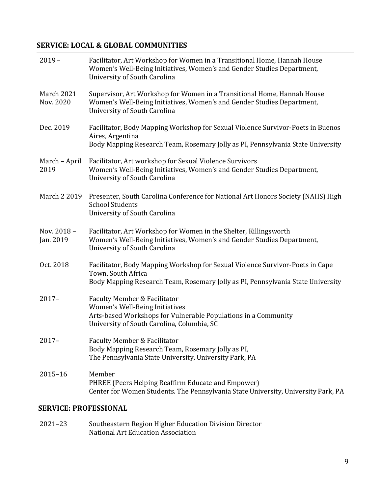## **SERVICE: LOCAL & GLOBAL COMMUNITIES**

| $2019 -$                       | Facilitator, Art Workshop for Women in a Transitional Home, Hannah House<br>Women's Well-Being Initiatives, Women's and Gender Studies Department,<br>University of South Carolina        |
|--------------------------------|-------------------------------------------------------------------------------------------------------------------------------------------------------------------------------------------|
| <b>March 2021</b><br>Nov. 2020 | Supervisor, Art Workshop for Women in a Transitional Home, Hannah House<br>Women's Well-Being Initiatives, Women's and Gender Studies Department,<br>University of South Carolina         |
| Dec. 2019                      | Facilitator, Body Mapping Workshop for Sexual Violence Survivor-Poets in Buenos<br>Aires, Argentina<br>Body Mapping Research Team, Rosemary Jolly as PI, Pennsylvania State University    |
| March - April<br>2019          | Facilitator, Art workshop for Sexual Violence Survivors<br>Women's Well-Being Initiatives, Women's and Gender Studies Department,<br>University of South Carolina                         |
| March 2 2019                   | Presenter, South Carolina Conference for National Art Honors Society (NAHS) High<br><b>School Students</b><br>University of South Carolina                                                |
| Nov. 2018 -<br>Jan. 2019       | Facilitator, Art Workshop for Women in the Shelter, Killingsworth<br>Women's Well-Being Initiatives, Women's and Gender Studies Department,<br>University of South Carolina               |
| Oct. 2018                      | Facilitator, Body Mapping Workshop for Sexual Violence Survivor-Poets in Cape<br>Town, South Africa<br>Body Mapping Research Team, Rosemary Jolly as PI, Pennsylvania State University    |
| $2017 -$                       | <b>Faculty Member &amp; Facilitator</b><br>Women's Well-Being Initiatives<br>Arts-based Workshops for Vulnerable Populations in a Community<br>University of South Carolina, Columbia, SC |
| $2017 -$                       | <b>Faculty Member &amp; Facilitator</b><br>Body Mapping Research Team, Rosemary Jolly as PI,<br>The Pennsylvania State University, University Park, PA                                    |
| $2015 - 16$                    | Member<br>PHREE (Peers Helping Reaffirm Educate and Empower)<br>Center for Women Students. The Pennsylvania State University, University Park, PA                                         |

### **SERVICE: PROFESSIONAL**

| 2021-23 | Southeastern Region Higher Education Division Director |
|---------|--------------------------------------------------------|
|         | National Art Education Association                     |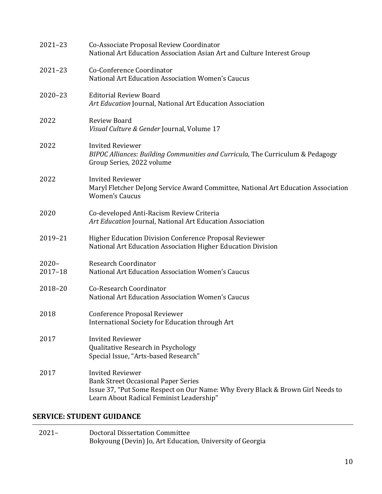| $2021 - 23$             | Co-Associate Proposal Review Coordinator<br>National Art Education Association Asian Art and Culture Interest Group                                                                                 |
|-------------------------|-----------------------------------------------------------------------------------------------------------------------------------------------------------------------------------------------------|
| $2021 - 23$             | Co-Conference Coordinator<br>National Art Education Association Women's Caucus                                                                                                                      |
| $2020 - 23$             | <b>Editorial Review Board</b><br>Art Education Journal, National Art Education Association                                                                                                          |
| 2022                    | <b>Review Board</b><br>Visual Culture & Gender Journal, Volume 17                                                                                                                                   |
| 2022                    | <b>Invited Reviewer</b><br>BIPOC Alliances: Building Communities and Curricula, The Curriculum & Pedagogy<br>Group Series, 2022 volume                                                              |
| 2022                    | <b>Invited Reviewer</b><br>Maryl Fletcher DeJong Service Award Committee, National Art Education Association<br><b>Women's Caucus</b>                                                               |
| 2020                    | Co-developed Anti-Racism Review Criteria<br>Art Education Journal, National Art Education Association                                                                                               |
| 2019-21                 | <b>Higher Education Division Conference Proposal Reviewer</b><br>National Art Education Association Higher Education Division                                                                       |
| $2020 -$<br>$2017 - 18$ | <b>Research Coordinator</b><br>National Art Education Association Women's Caucus                                                                                                                    |
| 2018-20                 | <b>Co-Research Coordinator</b><br>National Art Education Association Women's Caucus                                                                                                                 |
| 2018                    | <b>Conference Proposal Reviewer</b><br>International Society for Education through Art                                                                                                              |
| 2017                    | <b>Invited Reviewer</b><br>Qualitative Research in Psychology<br>Special Issue, "Arts-based Research"                                                                                               |
| 2017                    | <b>Invited Reviewer</b><br><b>Bank Street Occasional Paper Series</b><br>Issue 37, "Put Some Respect on Our Name: Why Every Black & Brown Girl Needs to<br>Learn About Radical Feminist Leadership" |

# **SERVICE: STUDENT GUIDANCE**

| $2021 -$ | Doctoral Dissertation Committee                           |
|----------|-----------------------------------------------------------|
|          | Bokyoung (Devin) Jo, Art Education, University of Georgia |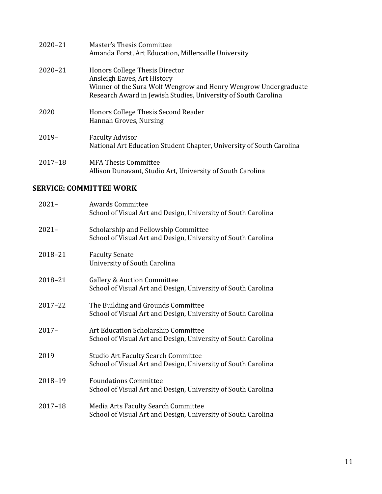| $2020 - 21$ | Master's Thesis Committee<br>Amanda Forst, Art Education, Millersville University                                                                                                                  |
|-------------|----------------------------------------------------------------------------------------------------------------------------------------------------------------------------------------------------|
| $2020 - 21$ | Honors College Thesis Director<br>Ansleigh Eaves, Art History<br>Winner of the Sura Wolf Wengrow and Henry Wengrow Undergraduate<br>Research Award in Jewish Studies, University of South Carolina |
| 2020        | Honors College Thesis Second Reader<br>Hannah Groves, Nursing                                                                                                                                      |
| $2019-$     | <b>Faculty Advisor</b><br>National Art Education Student Chapter, University of South Carolina                                                                                                     |
| $2017 - 18$ | MFA Thesis Committee<br>Allison Dunavant, Studio Art, University of South Carolina                                                                                                                 |

### **SERVICE: COMMITTEE WORK**

| $2021 -$    | <b>Awards Committee</b><br>School of Visual Art and Design, University of South Carolina                    |
|-------------|-------------------------------------------------------------------------------------------------------------|
| $2021 -$    | Scholarship and Fellowship Committee<br>School of Visual Art and Design, University of South Carolina       |
| 2018-21     | <b>Faculty Senate</b><br>University of South Carolina                                                       |
| 2018-21     | <b>Gallery &amp; Auction Committee</b><br>School of Visual Art and Design, University of South Carolina     |
| $2017 - 22$ | The Building and Grounds Committee<br>School of Visual Art and Design, University of South Carolina         |
| $2017 -$    | Art Education Scholarship Committee<br>School of Visual Art and Design, University of South Carolina        |
| 2019        | <b>Studio Art Faculty Search Committee</b><br>School of Visual Art and Design, University of South Carolina |
| 2018-19     | <b>Foundations Committee</b><br>School of Visual Art and Design, University of South Carolina               |
| $2017 - 18$ | Media Arts Faculty Search Committee<br>School of Visual Art and Design, University of South Carolina        |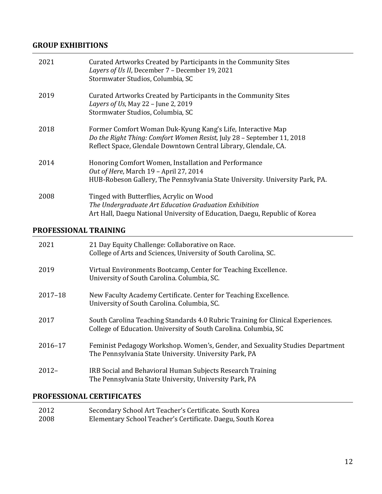### **GROUP EXHIBITIONS**

| 2021 | Curated Artworks Created by Participants in the Community Sites<br>Layers of Us II, December 7 - December 19, 2021<br>Stormwater Studios, Columbia, SC                                                   |
|------|----------------------------------------------------------------------------------------------------------------------------------------------------------------------------------------------------------|
| 2019 | Curated Artworks Created by Participants in the Community Sites<br>Layers of Us, May 22 - June 2, 2019<br>Stormwater Studios, Columbia, SC                                                               |
| 2018 | Former Comfort Woman Duk-Kyung Kang's Life, Interactive Map<br>Do the Right Thing: Comfort Women Resist, July 28 - September 11, 2018<br>Reflect Space, Glendale Downtown Central Library, Glendale, CA. |
| 2014 | Honoring Comfort Women, Installation and Performance<br>Out of Here, March 19 - April 27, 2014<br>HUB-Robeson Gallery, The Pennsylvania State University. University Park, PA.                           |
| 2008 | Tinged with Butterflies, Acrylic on Wood<br>The Undergraduate Art Education Graduation Exhibition<br>Art Hall, Daegu National University of Education, Daegu, Republic of Korea                          |

#### **PROFESSIONAL TRAINING**

| 2021     | 21 Day Equity Challenge: Collaborative on Race.<br>College of Arts and Sciences, University of South Carolina, SC.                                  |
|----------|-----------------------------------------------------------------------------------------------------------------------------------------------------|
| 2019     | Virtual Environments Bootcamp, Center for Teaching Excellence.<br>University of South Carolina. Columbia, SC.                                       |
| 2017-18  | New Faculty Academy Certificate. Center for Teaching Excellence.<br>University of South Carolina. Columbia, SC.                                     |
| 2017     | South Carolina Teaching Standards 4.0 Rubric Training for Clinical Experiences.<br>College of Education. University of South Carolina. Columbia, SC |
| 2016-17  | Feminist Pedagogy Workshop. Women's, Gender, and Sexuality Studies Department<br>The Pennsylvania State University. University Park, PA             |
| $2012 -$ | IRB Social and Behavioral Human Subjects Research Training<br>The Pennsylvania State University, University Park, PA                                |

# **PROFESSIONAL CERTIFICATES**

| 2012 | Secondary School Art Teacher's Certificate. South Korea     |
|------|-------------------------------------------------------------|
| 2008 | Elementary School Teacher's Certificate. Daegu, South Korea |